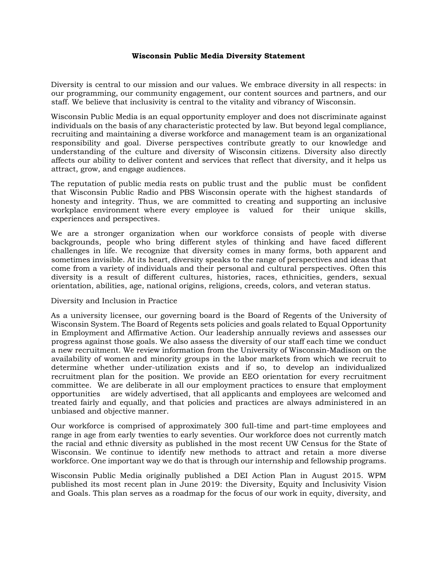## **Wisconsin Public Media Diversity Statement**

Diversity is central to our mission and our values. We embrace diversity in all respects: in our programming, our community engagement, our content sources and partners, and our staff. We believe that inclusivity is central to the vitality and vibrancy of Wisconsin.

Wisconsin Public Media is an equal opportunity employer and does not discriminate against individuals on the basis of any characteristic protected by law. But beyond legal compliance, recruiting and maintaining a diverse workforce and management team is an organizational responsibility and goal. Diverse perspectives contribute greatly to our knowledge and understanding of the culture and diversity of Wisconsin citizens. Diversity also directly affects our ability to deliver content and services that reflect that diversity, and it helps us attract, grow, and engage audiences.

The reputation of public media rests on public trust and the public must be confident that Wisconsin Public Radio and PBS Wisconsin operate with the highest standards of honesty and integrity. Thus, we are committed to creating and supporting an inclusive workplace environment where every employee is valued for their unique skills, experiences and perspectives.

We are a stronger organization when our workforce consists of people with diverse backgrounds, people who bring different styles of thinking and have faced different challenges in life. We recognize that diversity comes in many forms, both apparent and sometimes invisible. At its heart, diversity speaks to the range of perspectives and ideas that come from a variety of individuals and their personal and cultural perspectives. Often this diversity is a result of different cultures, histories, races, ethnicities, genders, sexual orientation, abilities, age, national origins, religions, creeds, colors, and veteran status.

## Diversity and Inclusion in Practice

As a university licensee, our governing board is the Board of Regents of the University of Wisconsin System. The Board of Regents sets policies and goals related to Equal Opportunity in Employment and Affirmative Action. Our leadership annually reviews and assesses our progress against those goals. We also assess the diversity of our staff each time we conduct a new recruitment. We review information from the University of Wisconsin-Madison on the availability of women and minority groups in the labor markets from which we recruit to determine whether under-utilization exists and if so, to develop an individualized recruitment plan for the position. We provide an EEO orientation for every recruitment committee. We are deliberate in all our employment practices to ensure that employment opportunities are widely advertised, that all applicants and employees are welcomed and treated fairly and equally, and that policies and practices are always administered in an unbiased and objective manner.

Our workforce is comprised of approximately 300 full-time and part-time employees and range in age from early twenties to early seventies. Our workforce does not currently match the racial and ethnic diversity as published in the most recent UW Census for the State of Wisconsin. We continue to identify new methods to attract and retain a more diverse workforce. One important way we do that is through our internship and fellowship programs.

Wisconsin Public Media originally published a DEI Action Plan in August 2015. WPM published its most recent plan in June 2019: the Diversity, Equity and Inclusivity Vision and Goals. This plan serves as a roadmap for the focus of our work in equity, diversity, and